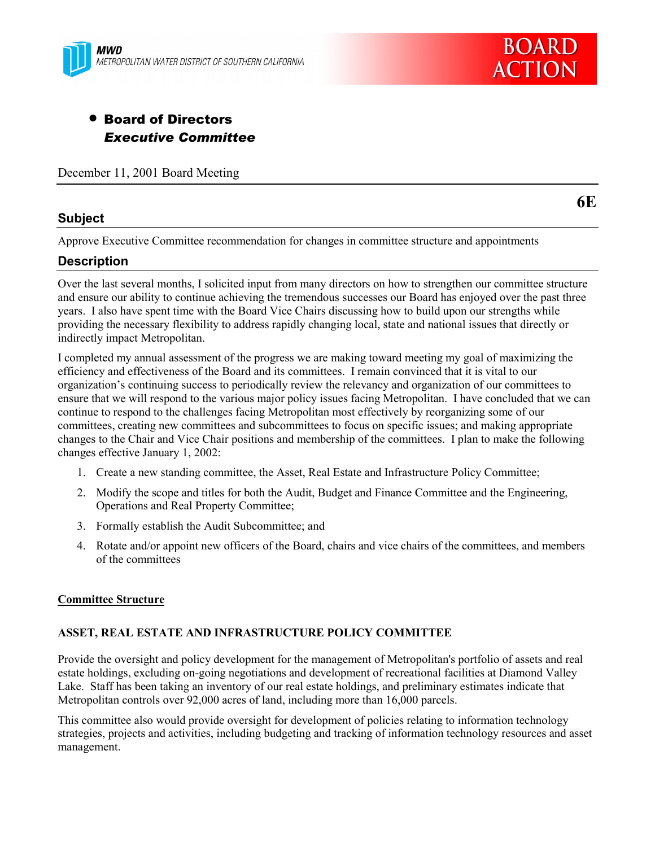



# • Board of Directors *Executive Committee*

December 11, 2001 Board Meeting

### **Subject**

**6E**

Approve Executive Committee recommendation for changes in committee structure and appointments

## **Description**

Over the last several months, I solicited input from many directors on how to strengthen our committee structure and ensure our ability to continue achieving the tremendous successes our Board has enjoyed over the past three years. I also have spent time with the Board Vice Chairs discussing how to build upon our strengths while providing the necessary flexibility to address rapidly changing local, state and national issues that directly or indirectly impact Metropolitan.

I completed my annual assessment of the progress we are making toward meeting my goal of maximizing the efficiency and effectiveness of the Board and its committees. I remain convinced that it is vital to our organizationís continuing success to periodically review the relevancy and organization of our committees to ensure that we will respond to the various major policy issues facing Metropolitan. I have concluded that we can continue to respond to the challenges facing Metropolitan most effectively by reorganizing some of our committees, creating new committees and subcommittees to focus on specific issues; and making appropriate changes to the Chair and Vice Chair positions and membership of the committees. I plan to make the following changes effective January 1, 2002:

- 1. Create a new standing committee, the Asset, Real Estate and Infrastructure Policy Committee;
- 2. Modify the scope and titles for both the Audit, Budget and Finance Committee and the Engineering, Operations and Real Property Committee;
- 3. Formally establish the Audit Subcommittee; and
- 4. Rotate and/or appoint new officers of the Board, chairs and vice chairs of the committees, and members of the committees

#### **Committee Structure**

#### **ASSET, REAL ESTATE AND INFRASTRUCTURE POLICY COMMITTEE**

Provide the oversight and policy development for the management of Metropolitan's portfolio of assets and real estate holdings, excluding on-going negotiations and development of recreational facilities at Diamond Valley Lake. Staff has been taking an inventory of our real estate holdings, and preliminary estimates indicate that Metropolitan controls over 92,000 acres of land, including more than 16,000 parcels.

This committee also would provide oversight for development of policies relating to information technology strategies, projects and activities, including budgeting and tracking of information technology resources and asset management.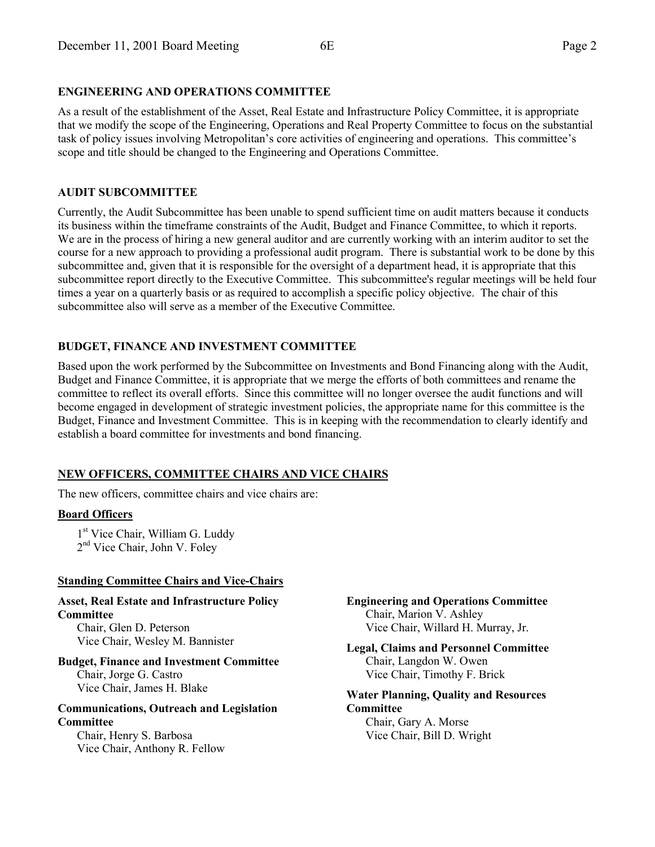As a result of the establishment of the Asset, Real Estate and Infrastructure Policy Committee, it is appropriate that we modify the scope of the Engineering, Operations and Real Property Committee to focus on the substantial task of policy issues involving Metropolitan's core activities of engineering and operations. This committee's scope and title should be changed to the Engineering and Operations Committee.

## **AUDIT SUBCOMMITTEE**

Currently, the Audit Subcommittee has been unable to spend sufficient time on audit matters because it conducts its business within the timeframe constraints of the Audit, Budget and Finance Committee, to which it reports. We are in the process of hiring a new general auditor and are currently working with an interim auditor to set the course for a new approach to providing a professional audit program. There is substantial work to be done by this subcommittee and, given that it is responsible for the oversight of a department head, it is appropriate that this subcommittee report directly to the Executive Committee. This subcommittee's regular meetings will be held four times a year on a quarterly basis or as required to accomplish a specific policy objective. The chair of this subcommittee also will serve as a member of the Executive Committee.

## **BUDGET, FINANCE AND INVESTMENT COMMITTEE**

Based upon the work performed by the Subcommittee on Investments and Bond Financing along with the Audit, Budget and Finance Committee, it is appropriate that we merge the efforts of both committees and rename the committee to reflect its overall efforts. Since this committee will no longer oversee the audit functions and will become engaged in development of strategic investment policies, the appropriate name for this committee is the Budget, Finance and Investment Committee. This is in keeping with the recommendation to clearly identify and establish a board committee for investments and bond financing.

## **NEW OFFICERS, COMMITTEE CHAIRS AND VICE CHAIRS**

The new officers, committee chairs and vice chairs are:

### **Board Officers**

1<sup>st</sup> Vice Chair, William G. Luddy 2<sup>nd</sup> Vice Chair, John V. Foley

### **Standing Committee Chairs and Vice-Chairs**

**Asset, Real Estate and Infrastructure Policy Committee**

Chair, Glen D. Peterson Vice Chair, Wesley M. Bannister

**Budget, Finance and Investment Committee** Chair, Jorge G. Castro Vice Chair, James H. Blake

#### **Communications, Outreach and Legislation Committee**

Chair, Henry S. Barbosa Vice Chair, Anthony R. Fellow **Engineering and Operations Committee** Chair, Marion V. Ashley Vice Chair, Willard H. Murray, Jr.

**Legal, Claims and Personnel Committee** Chair, Langdon W. Owen Vice Chair, Timothy F. Brick

**Water Planning, Quality and Resources Committee** Chair, Gary A. Morse

Vice Chair, Bill D. Wright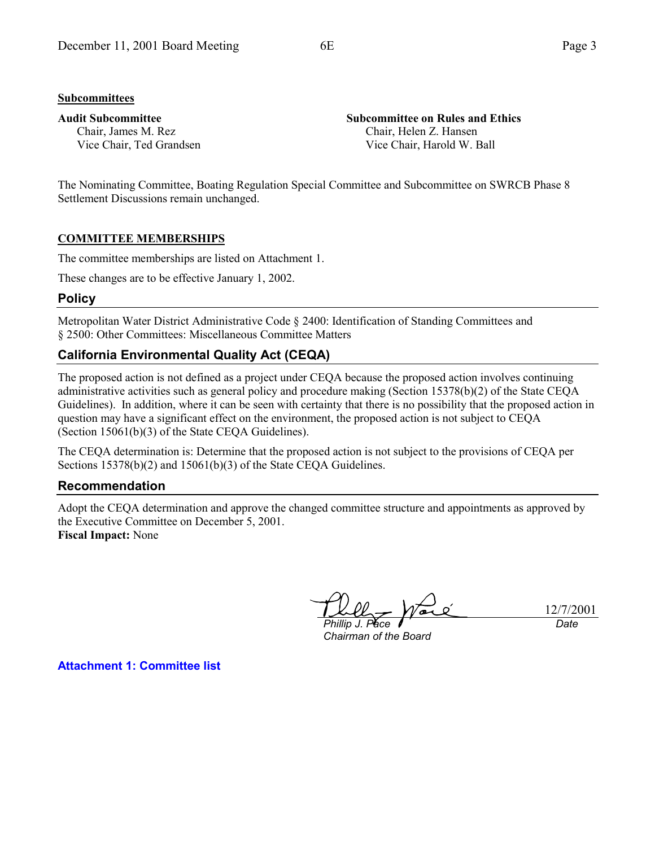#### **Subcommittees**

#### **Audit Subcommittee**

Chair, James M. Rez Vice Chair, Ted Grandsen **Subcommittee on Rules and Ethics** Chair, Helen Z. Hansen Vice Chair, Harold W. Ball

The Nominating Committee, Boating Regulation Special Committee and Subcommittee on SWRCB Phase 8 Settlement Discussions remain unchanged.

#### **COMMITTEE MEMBERSHIPS**

The committee memberships are listed on Attachment 1.

These changes are to be effective January 1, 2002.

#### **Policy**

Metropolitan Water District Administrative Code ß 2400: Identification of Standing Committees and ß 2500: Other Committees: Miscellaneous Committee Matters

## **California Environmental Quality Act (CEQA)**

The proposed action is not defined as a project under CEQA because the proposed action involves continuing administrative activities such as general policy and procedure making (Section 15378(b)(2) of the State CEQA Guidelines). In addition, where it can be seen with certainty that there is no possibility that the proposed action in question may have a significant effect on the environment, the proposed action is not subject to CEQA (Section 15061(b)(3) of the State CEQA Guidelines).

The CEQA determination is: Determine that the proposed action is not subject to the provisions of CEQA per Sections 15378(b)(2) and 15061(b)(3) of the State CEQA Guidelines.

#### **Recommendation**

Adopt the CEQA determination and approve the changed committee structure and appointments as approved by the Executive Committee on December 5, 2001. **Fiscal Impact:** None

*Phillip J. Pace*

*Chairman of the Board*

12/7/2001 *Date*

**Attachment 1: Committee list**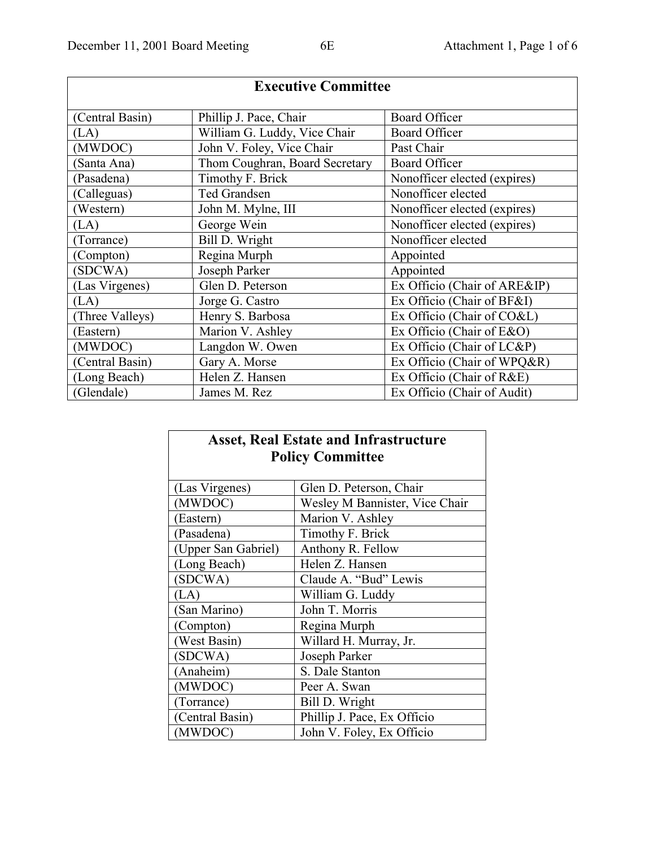| <b>Executive Committee</b> |                                |                              |
|----------------------------|--------------------------------|------------------------------|
| (Central Basin)            | Phillip J. Pace, Chair         | <b>Board Officer</b>         |
| (LA)                       | William G. Luddy, Vice Chair   | <b>Board Officer</b>         |
| (MWDOC)                    | John V. Foley, Vice Chair      | Past Chair                   |
| Santa Ana)                 | Thom Coughran, Board Secretary | <b>Board Officer</b>         |
| (Pasadena)                 | Timothy F. Brick               | Nonofficer elected (expires) |
| (Calleguas)                | Ted Grandsen                   | Nonofficer elected           |
| Western)                   | John M. Mylne, III             | Nonofficer elected (expires) |
| (LA)                       | George Wein                    | Nonofficer elected (expires) |
| (Torrance)                 | Bill D. Wright                 | Nonofficer elected           |
| (Compton)                  | Regina Murph                   | Appointed                    |
| (SDCWA)                    | Joseph Parker                  | Appointed                    |
| (Las Virgenes)             | Glen D. Peterson               | Ex Officio (Chair of ARE&IP) |
| (LA)                       | Jorge G. Castro                | Ex Officio (Chair of BF&I)   |
| (Three Valleys)            | Henry S. Barbosa               | Ex Officio (Chair of CO&L)   |
| (Eastern)                  | Marion V. Ashley               | Ex Officio (Chair of E&O)    |
| (MWDOC)                    | Langdon W. Owen                | Ex Officio (Chair of LC&P)   |
| (Central Basin)            | Gary A. Morse                  | Ex Officio (Chair of WPQ&R)  |
| (Long Beach)               | Helen Z. Hansen                | Ex Officio (Chair of R&E)    |
| (Glendale)                 | James M. Rez                   | Ex Officio (Chair of Audit)  |

# **Asset, Real Estate and Infrastructure Policy Committee**

| (Las Virgenes)      | Glen D. Peterson, Chair        |
|---------------------|--------------------------------|
| (MWDOC)             | Wesley M Bannister, Vice Chair |
| (Eastern)           | Marion V. Ashley               |
| (Pasadena)          | Timothy F. Brick               |
| (Upper San Gabriel) | Anthony R. Fellow              |
| (Long Beach)        | Helen Z. Hansen                |
| (SDCWA)             | Claude A. "Bud" Lewis          |
| (LA)                | William G. Luddy               |
| (San Marino)        | John T. Morris                 |
| (Compton)           | Regina Murph                   |
| (West Basin)        | Willard H. Murray, Jr.         |
| (SDCWA)             | Joseph Parker                  |
| (Anaheim)           | S. Dale Stanton                |
| (MWDOC)             | Peer A. Swan                   |
| (Torrance)          | Bill D. Wright                 |
| (Central Basin)     | Phillip J. Pace, Ex Officio    |
| (MWDOC)             | John V. Foley, Ex Officio      |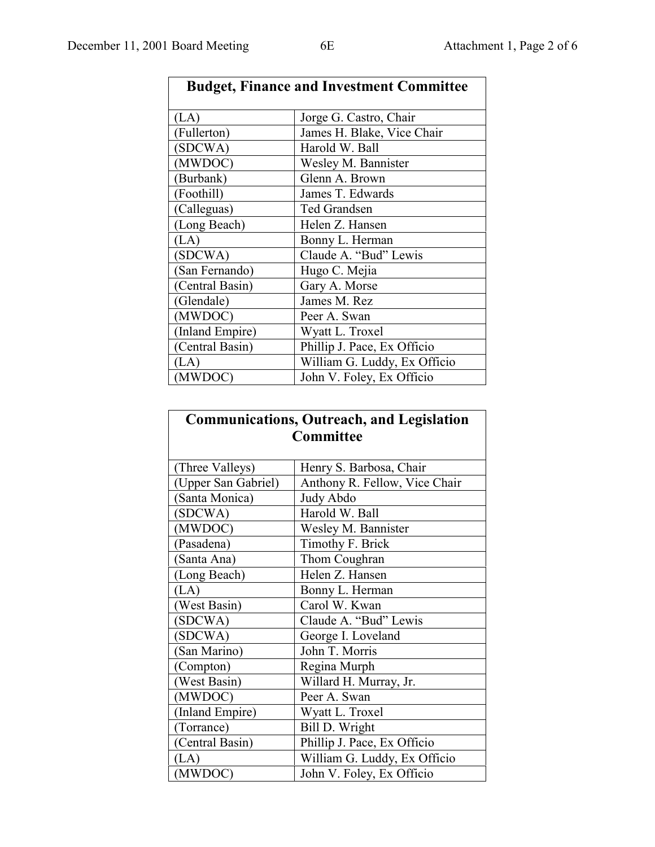| <b>Budget, Finance and Investment Committee</b> |                              |
|-------------------------------------------------|------------------------------|
| (LA)                                            | Jorge G. Castro, Chair       |
| (Fullerton)                                     | James H. Blake, Vice Chair   |
| (SDCWA)                                         | Harold W. Ball               |
| (MWDOC)                                         | Wesley M. Bannister          |
| (Burbank)                                       | Glenn A. Brown               |
| (Foothill)                                      | James T. Edwards             |
| (Calleguas)                                     | Ted Grandsen                 |
| (Long Beach)                                    | Helen Z. Hansen              |
| (LA)                                            | Bonny L. Herman              |
| (SDCWA)                                         | Claude A. "Bud" Lewis        |
| (San Fernando)                                  | Hugo C. Mejia                |
| (Central Basin)                                 | Gary A. Morse                |
| (Glendale)                                      | James M. Rez                 |
| (MWDOC)                                         | Peer A. Swan                 |
| (Inland Empire)                                 | Wyatt L. Troxel              |
| (Central Basin)                                 | Phillip J. Pace, Ex Officio  |
| $\mathcal{A}$                                   | William G. Luddy, Ex Officio |
| (MWDOC)                                         | John V. Foley, Ex Officio    |

## **Communications, Outreach, and Legislation Committee**

| (Three Valleys)     | Henry S. Barbosa, Chair       |
|---------------------|-------------------------------|
| (Upper San Gabriel) | Anthony R. Fellow, Vice Chair |
| (Santa Monica)      | Judy Abdo                     |
| (SDCWA)             | Harold W. Ball                |
| (MWDOC)             | Wesley M. Bannister           |
| (Pasadena)          | Timothy F. Brick              |
| (Santa Ana)         | Thom Coughran                 |
| (Long Beach)        | Helen Z. Hansen               |
| (LA)                | Bonny L. Herman               |
| (West Basin)        | Carol W. Kwan                 |
| (SDCWA)             | Claude A. "Bud" Lewis         |
| (SDCWA)             | George I. Loveland            |
| (San Marino)        | John T. Morris                |
| (Compton)           | Regina Murph                  |
| (West Basin)        | Willard H. Murray, Jr.        |
| (MWDOC)             | Peer A. Swan                  |
| (Inland Empire)     | Wyatt L. Troxel               |
| (Torrance)          | Bill D. Wright                |
| (Central Basin)     | Phillip J. Pace, Ex Officio   |
| (LA)                | William G. Luddy, Ex Officio  |
| (MWDOC)             | John V. Foley, Ex Officio     |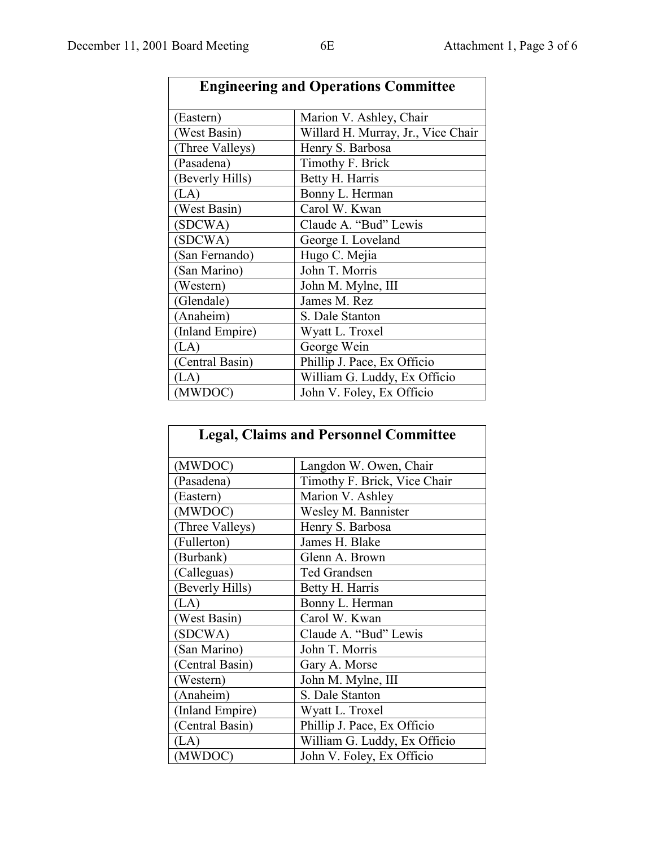| <b>Engineering and Operations Committee</b> |                                    |
|---------------------------------------------|------------------------------------|
| (Eastern)                                   | Marion V. Ashley, Chair            |
| (West Basin)                                | Willard H. Murray, Jr., Vice Chair |
| (Three Valleys)                             | Henry S. Barbosa                   |
| (Pasadena)                                  | Timothy F. Brick                   |
| (Beverly Hills)                             | Betty H. Harris                    |
| (LA)                                        | Bonny L. Herman                    |
| (West Basin)                                | Carol W. Kwan                      |
| (SDCWA)                                     | Claude A. "Bud" Lewis              |
| (SDCWA)                                     | George I. Loveland                 |
| (San Fernando)                              | Hugo C. Mejia                      |
| (San Marino)                                | John T. Morris                     |
| (Western)                                   | John M. Mylne, III                 |
| (Glendale)                                  | James M. Rez                       |
| (Anaheim)                                   | S. Dale Stanton                    |
| (Inland Empire)                             | Wyatt L. Troxel                    |
| (LA)                                        | George Wein                        |
| (Central Basin)                             | Phillip J. Pace, Ex Officio        |
| (LA)                                        | William G. Luddy, Ex Officio       |
| (MWDOC)                                     | John V. Foley, Ex Officio          |

| <b>Legal, Claims and Personnel Committee</b> |                              |
|----------------------------------------------|------------------------------|
| (MWDOC)                                      | Langdon W. Owen, Chair       |
| (Pasadena)                                   | Timothy F. Brick, Vice Chair |
| (Eastern)                                    | Marion V. Ashley             |
| (MWDOC)                                      | Wesley M. Bannister          |
| (Three Valleys)                              | Henry S. Barbosa             |
| (Fullerton)                                  | James H. Blake               |
| (Burbank)                                    | Glenn A. Brown               |
| (Calleguas)                                  | Ted Grandsen                 |
| (Beverly Hills)                              | Betty H. Harris              |
| (LA)                                         | Bonny L. Herman              |
| (West Basin)                                 | Carol W. Kwan                |
| (SDCWA)                                      | Claude A. "Bud" Lewis        |
| (San Marino)                                 | John T. Morris               |
| (Central Basin)                              | Gary A. Morse                |
| (Western)                                    | John M. Mylne, III           |
| (Anaheim)                                    | S. Dale Stanton              |
| (Inland Empire)                              | Wyatt L. Troxel              |
| (Central Basin)                              | Phillip J. Pace, Ex Officio  |
| (LA)                                         | William G. Luddy, Ex Officio |
| (MWDOC)                                      | John V. Foley, Ex Officio    |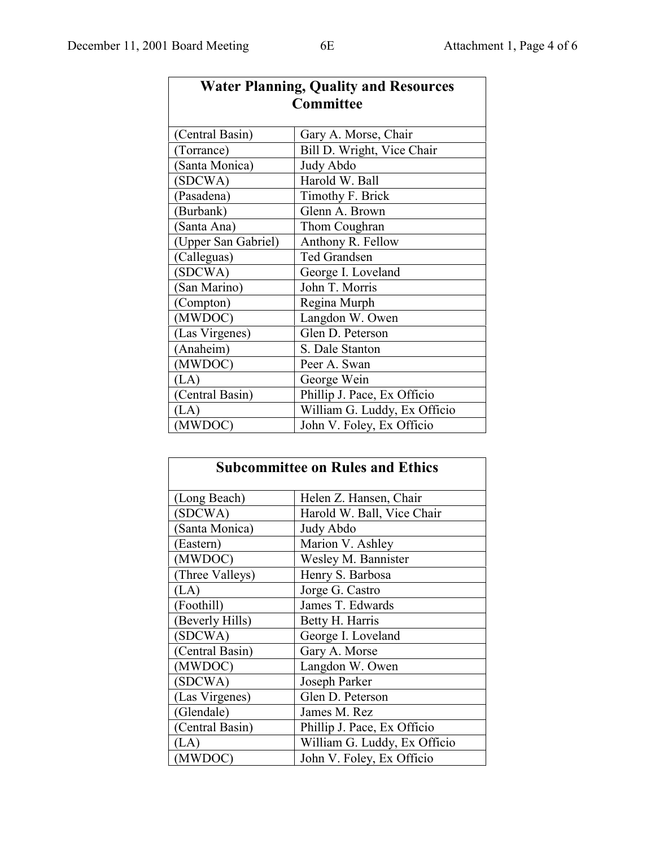| <b>Water Planning, Quality and Resources</b> |                              |  |
|----------------------------------------------|------------------------------|--|
| <b>Committee</b>                             |                              |  |
| (Central Basin)                              | Gary A. Morse, Chair         |  |
| (Torrance)                                   | Bill D. Wright, Vice Chair   |  |
| Santa Monica)                                | Judy Abdo                    |  |
| (SDCWA)                                      | Harold W. Ball               |  |
| (Pasadena)                                   | Timothy F. Brick             |  |
| (Burbank)                                    | Glenn A. Brown               |  |
| (Santa Ana)                                  | Thom Coughran                |  |
| (Upper San Gabriel)                          | Anthony R. Fellow            |  |
| (Calleguas)                                  | <b>Ted Grandsen</b>          |  |
| (SDCWA)                                      | George I. Loveland           |  |
| (San Marino)                                 | John T. Morris               |  |
| (Compton)                                    | Regina Murph                 |  |
| (MWDOC)                                      | Langdon W. Owen              |  |
| (Las Virgenes)                               | Glen D. Peterson             |  |
| (Anaheim)                                    | S. Dale Stanton              |  |
| (MWDOC)                                      | Peer A. Swan                 |  |
| (LA)                                         | George Wein                  |  |
| (Central Basin)                              | Phillip J. Pace, Ex Officio  |  |
| (LA)                                         | William G. Luddy, Ex Officio |  |
| (MWDOC)                                      | John V. Foley, Ex Officio    |  |

| <b>Subcommittee on Rules and Ethics</b> |                              |
|-----------------------------------------|------------------------------|
| (Long Beach)                            | Helen Z. Hansen, Chair       |
| (SDCWA)                                 | Harold W. Ball, Vice Chair   |
| (Santa Monica)                          | Judy Abdo                    |
| (Eastern)                               | Marion V. Ashley             |
| (MWDOC)                                 | Wesley M. Bannister          |
| (Three Valleys)                         | Henry S. Barbosa             |
| (LA)                                    | Jorge G. Castro              |
| (Foothill)                              | James T. Edwards             |
| (Beverly Hills)                         | Betty H. Harris              |
| (SDCWA)                                 | George I. Loveland           |
| (Central Basin)                         | Gary A. Morse                |
| (MWDOC)                                 | Langdon W. Owen              |
| (SDCWA)                                 | Joseph Parker                |
| (Las Virgenes)                          | Glen D. Peterson             |
| (Glendale)                              | James M. Rez                 |
| (Central Basin)                         | Phillip J. Pace, Ex Officio  |
| (LA)                                    | William G. Luddy, Ex Officio |
| (MWDOC)                                 | John V. Foley, Ex Officio    |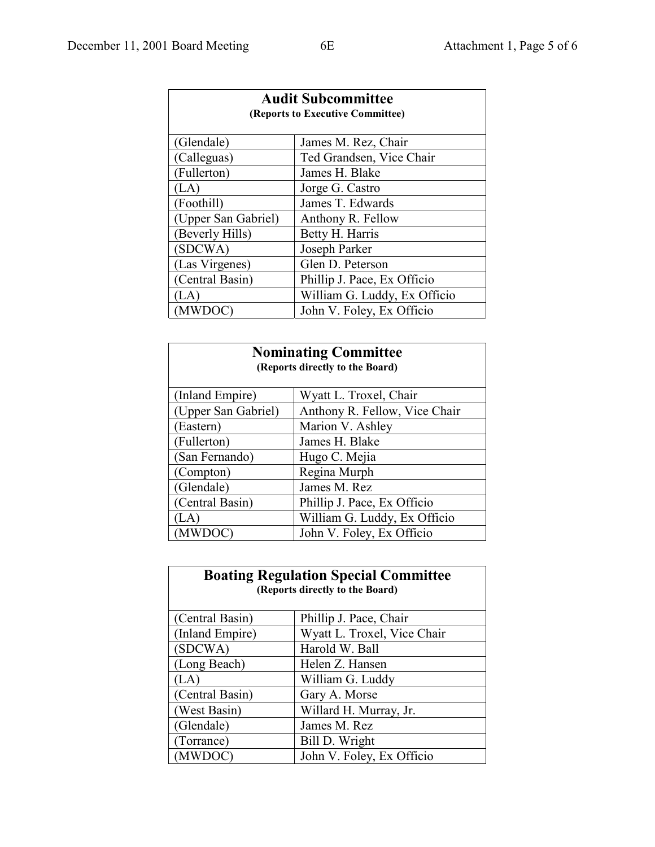| <b>Audit Subcommittee</b><br>(Reports to Executive Committee) |                              |  |
|---------------------------------------------------------------|------------------------------|--|
| (Glendale)                                                    | James M. Rez, Chair          |  |
| (Calleguas)                                                   | Ted Grandsen, Vice Chair     |  |
| (Fullerton)                                                   | James H. Blake               |  |
| (LA)                                                          | Jorge G. Castro              |  |
| (Foothill)                                                    | James T. Edwards             |  |
| (Upper San Gabriel)                                           | Anthony R. Fellow            |  |
| (Beverly Hills)                                               | Betty H. Harris              |  |
| (SDCWA)                                                       | Joseph Parker                |  |
| (Las Virgenes)                                                | Glen D. Peterson             |  |
| (Central Basin)                                               | Phillip J. Pace, Ex Officio  |  |
| LA)                                                           | William G. Luddy, Ex Officio |  |
| MW)                                                           | John V. Foley, Ex Officio    |  |

| <b>Nominating Committee</b><br>(Reports directly to the Board) |                               |  |
|----------------------------------------------------------------|-------------------------------|--|
| (Inland Empire)                                                | Wyatt L. Troxel, Chair        |  |
| (Upper San Gabriel)                                            | Anthony R. Fellow, Vice Chair |  |
| (Eastern)                                                      | Marion V. Ashley              |  |
| (Fullerton)                                                    | James H. Blake                |  |
| (San Fernando)                                                 | Hugo C. Mejia                 |  |
| (Compton)                                                      | Regina Murph                  |  |
| (Glendale)                                                     | James M. Rez                  |  |
| (Central Basin)                                                | Phillip J. Pace, Ex Officio   |  |
| (LA                                                            | William G. Luddy, Ex Officio  |  |
|                                                                | John V. Foley, Ex Officio     |  |

| <b>Boating Regulation Special Committee</b><br>(Reports directly to the Board) |                             |  |
|--------------------------------------------------------------------------------|-----------------------------|--|
| (Central Basin)                                                                | Phillip J. Pace, Chair      |  |
| (Inland Empire)                                                                | Wyatt L. Troxel, Vice Chair |  |
| (SDCWA)                                                                        | Harold W. Ball              |  |
| (Long Beach)                                                                   | Helen Z. Hansen             |  |
| (LA`                                                                           | William G. Luddy            |  |
| (Central Basin)                                                                | Gary A. Morse               |  |
| (West Basin)                                                                   | Willard H. Murray, Jr.      |  |
| (Glendale)                                                                     | James M. Rez                |  |
| (Torrance)                                                                     | Bill D. Wright              |  |
| (MWDOC)                                                                        | John V. Foley, Ex Officio   |  |